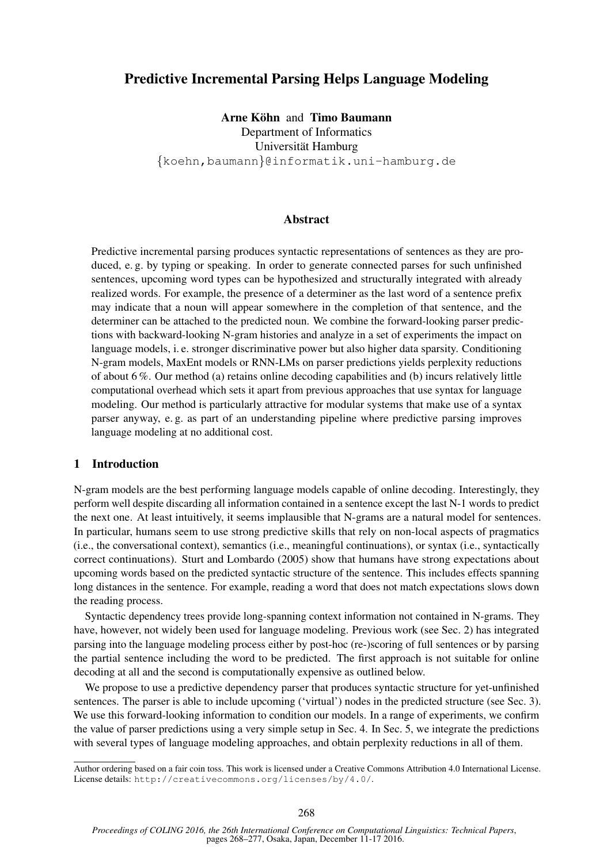# Predictive Incremental Parsing Helps Language Modeling

Arne Köhn and Timo Baumann Department of Informatics Universität Hamburg {koehn,baumann}@informatik.uni-hamburg.de

# Abstract

Predictive incremental parsing produces syntactic representations of sentences as they are produced, e. g. by typing or speaking. In order to generate connected parses for such unfinished sentences, upcoming word types can be hypothesized and structurally integrated with already realized words. For example, the presence of a determiner as the last word of a sentence prefix may indicate that a noun will appear somewhere in the completion of that sentence, and the determiner can be attached to the predicted noun. We combine the forward-looking parser predictions with backward-looking N-gram histories and analyze in a set of experiments the impact on language models, i. e. stronger discriminative power but also higher data sparsity. Conditioning N-gram models, MaxEnt models or RNN-LMs on parser predictions yields perplexity reductions of about  $6\%$ . Our method (a) retains online decoding capabilities and (b) incurs relatively little computational overhead which sets it apart from previous approaches that use syntax for language modeling. Our method is particularly attractive for modular systems that make use of a syntax parser anyway, e. g. as part of an understanding pipeline where predictive parsing improves language modeling at no additional cost.

# 1 Introduction

N-gram models are the best performing language models capable of online decoding. Interestingly, they perform well despite discarding all information contained in a sentence except the last N-1 words to predict the next one. At least intuitively, it seems implausible that N-grams are a natural model for sentences. In particular, humans seem to use strong predictive skills that rely on non-local aspects of pragmatics (i.e., the conversational context), semantics (i.e., meaningful continuations), or syntax (i.e., syntactically correct continuations). Sturt and Lombardo (2005) show that humans have strong expectations about upcoming words based on the predicted syntactic structure of the sentence. This includes effects spanning long distances in the sentence. For example, reading a word that does not match expectations slows down the reading process.

Syntactic dependency trees provide long-spanning context information not contained in N-grams. They have, however, not widely been used for language modeling. Previous work (see Sec. 2) has integrated parsing into the language modeling process either by post-hoc (re-)scoring of full sentences or by parsing the partial sentence including the word to be predicted. The first approach is not suitable for online decoding at all and the second is computationally expensive as outlined below.

We propose to use a predictive dependency parser that produces syntactic structure for yet-unfinished sentences. The parser is able to include upcoming ('virtual') nodes in the predicted structure (see Sec. 3). We use this forward-looking information to condition our models. In a range of experiments, we confirm the value of parser predictions using a very simple setup in Sec. 4. In Sec. 5, we integrate the predictions with several types of language modeling approaches, and obtain perplexity reductions in all of them.

Author ordering based on a fair coin toss. This work is licensed under a Creative Commons Attribution 4.0 International License. License details: http://creativecommons.org/licenses/by/4.0/.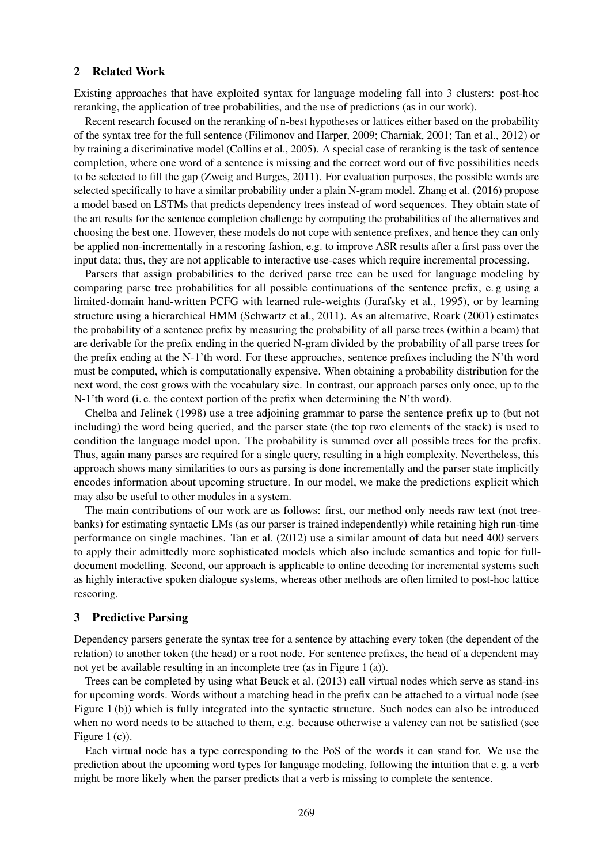#### 2 Related Work

Existing approaches that have exploited syntax for language modeling fall into 3 clusters: post-hoc reranking, the application of tree probabilities, and the use of predictions (as in our work).

Recent research focused on the reranking of n-best hypotheses or lattices either based on the probability of the syntax tree for the full sentence (Filimonov and Harper, 2009; Charniak, 2001; Tan et al., 2012) or by training a discriminative model (Collins et al., 2005). A special case of reranking is the task of sentence completion, where one word of a sentence is missing and the correct word out of five possibilities needs to be selected to fill the gap (Zweig and Burges, 2011). For evaluation purposes, the possible words are selected specifically to have a similar probability under a plain N-gram model. Zhang et al. (2016) propose a model based on LSTMs that predicts dependency trees instead of word sequences. They obtain state of the art results for the sentence completion challenge by computing the probabilities of the alternatives and choosing the best one. However, these models do not cope with sentence prefixes, and hence they can only be applied non-incrementally in a rescoring fashion, e.g. to improve ASR results after a first pass over the input data; thus, they are not applicable to interactive use-cases which require incremental processing.

Parsers that assign probabilities to the derived parse tree can be used for language modeling by comparing parse tree probabilities for all possible continuations of the sentence prefix, e. g using a limited-domain hand-written PCFG with learned rule-weights (Jurafsky et al., 1995), or by learning structure using a hierarchical HMM (Schwartz et al., 2011). As an alternative, Roark (2001) estimates the probability of a sentence prefix by measuring the probability of all parse trees (within a beam) that are derivable for the prefix ending in the queried N-gram divided by the probability of all parse trees for the prefix ending at the N-1'th word. For these approaches, sentence prefixes including the N'th word must be computed, which is computationally expensive. When obtaining a probability distribution for the next word, the cost grows with the vocabulary size. In contrast, our approach parses only once, up to the N-1'th word (i. e. the context portion of the prefix when determining the N'th word).

Chelba and Jelinek (1998) use a tree adjoining grammar to parse the sentence prefix up to (but not including) the word being queried, and the parser state (the top two elements of the stack) is used to condition the language model upon. The probability is summed over all possible trees for the prefix. Thus, again many parses are required for a single query, resulting in a high complexity. Nevertheless, this approach shows many similarities to ours as parsing is done incrementally and the parser state implicitly encodes information about upcoming structure. In our model, we make the predictions explicit which may also be useful to other modules in a system.

The main contributions of our work are as follows: first, our method only needs raw text (not treebanks) for estimating syntactic LMs (as our parser is trained independently) while retaining high run-time performance on single machines. Tan et al. (2012) use a similar amount of data but need 400 servers to apply their admittedly more sophisticated models which also include semantics and topic for fulldocument modelling. Second, our approach is applicable to online decoding for incremental systems such as highly interactive spoken dialogue systems, whereas other methods are often limited to post-hoc lattice rescoring.

### 3 Predictive Parsing

Dependency parsers generate the syntax tree for a sentence by attaching every token (the dependent of the relation) to another token (the head) or a root node. For sentence prefixes, the head of a dependent may not yet be available resulting in an incomplete tree (as in Figure 1 (a)).

Trees can be completed by using what Beuck et al. (2013) call virtual nodes which serve as stand-ins for upcoming words. Words without a matching head in the prefix can be attached to a virtual node (see Figure 1 (b)) which is fully integrated into the syntactic structure. Such nodes can also be introduced when no word needs to be attached to them, e.g. because otherwise a valency can not be satisfied (see Figure 1 (c)).

Each virtual node has a type corresponding to the PoS of the words it can stand for. We use the prediction about the upcoming word types for language modeling, following the intuition that e. g. a verb might be more likely when the parser predicts that a verb is missing to complete the sentence.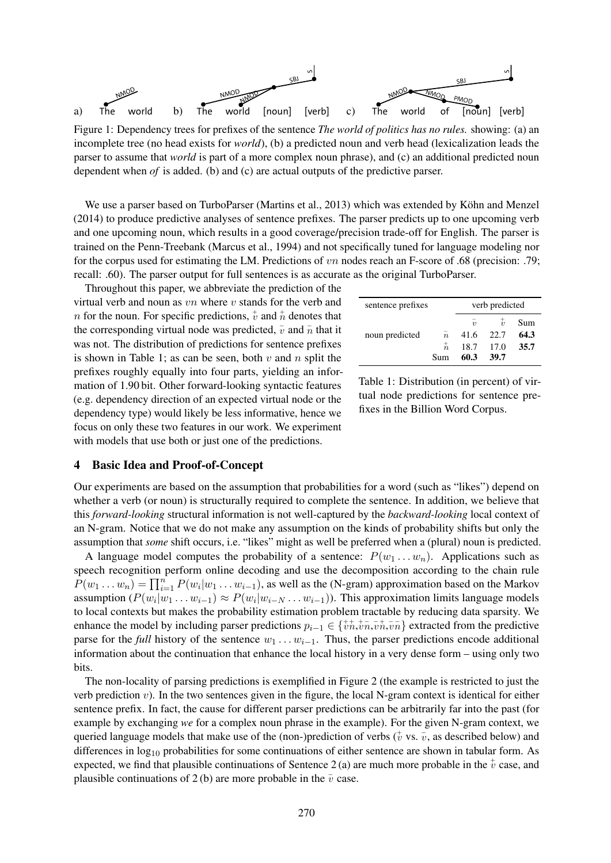

Figure 1: Dependency trees for prefixes of the sentence *The world of politics has no rules.* showing: (a) an incomplete tree (no head exists for *world*), (b) a predicted noun and verb head (lexicalization leads the parser to assume that *world* is part of a more complex noun phrase), and (c) an additional predicted noun dependent when *of* is added. (b) and (c) are actual outputs of the predictive parser.

We use a parser based on TurboParser (Martins et al., 2013) which was extended by Köhn and Menzel (2014) to produce predictive analyses of sentence prefixes. The parser predicts up to one upcoming verb and one upcoming noun, which results in a good coverage/precision trade-off for English. The parser is trained on the Penn-Treebank (Marcus et al., 1994) and not specifically tuned for language modeling nor for the corpus used for estimating the LM. Predictions of vn nodes reach an F-score of .68 (precision: .79; recall: .60). The parser output for full sentences is as accurate as the original TurboParser.

Throughout this paper, we abbreviate the prediction of the virtual verb and noun as  $vn$  where  $v$  stands for the verb and *n* for the noun. For specific predictions,  $\dot{v}$  and  $\dot{n}$  denotes that the corresponding virtual node was predicted,  $\bar{v}$  and  $\bar{n}$  that it was not. The distribution of predictions for sentence prefixes is shown in Table 1; as can be seen, both  $v$  and  $n$  split the prefixes roughly equally into four parts, yielding an information of 1.90 bit. Other forward-looking syntactic features (e.g. dependency direction of an expected virtual node or the dependency type) would likely be less informative, hence we focus on only these two features in our work. We experiment with models that use both or just one of the predictions.

#### sentence prefixes verb predicted  $\bar{v}$  $\frac{1}{v}$ Sum noun predicted  $\bar{n}$ n 41.6 22.7 64.3  $\frac{1}{n}$ 18.7 17.0 35.7<br>60.3 39.7 Sum 60.3

Table 1: Distribution (in percent) of virtual node predictions for sentence prefixes in the Billion Word Corpus.

# 4 Basic Idea and Proof-of-Concept

Our experiments are based on the assumption that probabilities for a word (such as "likes") depend on whether a verb (or noun) is structurally required to complete the sentence. In addition, we believe that this *forward-looking* structural information is not well-captured by the *backward-looking* local context of an N-gram. Notice that we do not make any assumption on the kinds of probability shifts but only the assumption that *some* shift occurs, i.e. "likes" might as well be preferred when a (plural) noun is predicted.

A language model computes the probability of a sentence:  $P(w_1 \dots w_n)$ . Applications such as speech recognition perform online decoding and use the decomposition according to the chain rule  $P(w_1 \dots w_n) = \prod_{i=1}^n P(w_i|w_1 \dots w_{i-1})$ , as well as the (N-gram) approximation based on the Markov assumption  $(P(w_i|w_1 \ldots w_{i-1}) \approx P(w_i|w_{i-N} \ldots w_{i-1}))$ . This approximation limits language models to local contexts but makes the probability estimation problem tractable by reducing data sparsity. We enhance the model by including parser predictions  $p_{i-1} \in \{\psi_n^+, \psi_n^-, \overline{\psi}_n^+, \overline{\psi}_n^-\}$  extracted from the predictive parse for the *full* history of the sentence  $w_1 \ldots w_{i-1}$ . Thus, the parser predictions encode additional information about the continuation that enhance the local history in a very dense form – using only two bits.

The non-locality of parsing predictions is exemplified in Figure 2 (the example is restricted to just the verb prediction v). In the two sentences given in the figure, the local N-gram context is identical for either sentence prefix. In fact, the cause for different parser predictions can be arbitrarily far into the past (for example by exchanging *we* for a complex noun phrase in the example). For the given N-gram context, we queried language models that make use of the (non-)prediction of verbs ( $_v^{\dagger}$  vs.  $_v^{\dagger}$ , as described below) and differences in  $log_{10}$  probabilities for some continuations of either sentence are shown in tabular form. As expected, we find that plausible continuations of Sentence 2 (a) are much more probable in the  $\dot{v}$  case, and plausible continuations of 2 (b) are more probable in the  $\bar{v}$  case.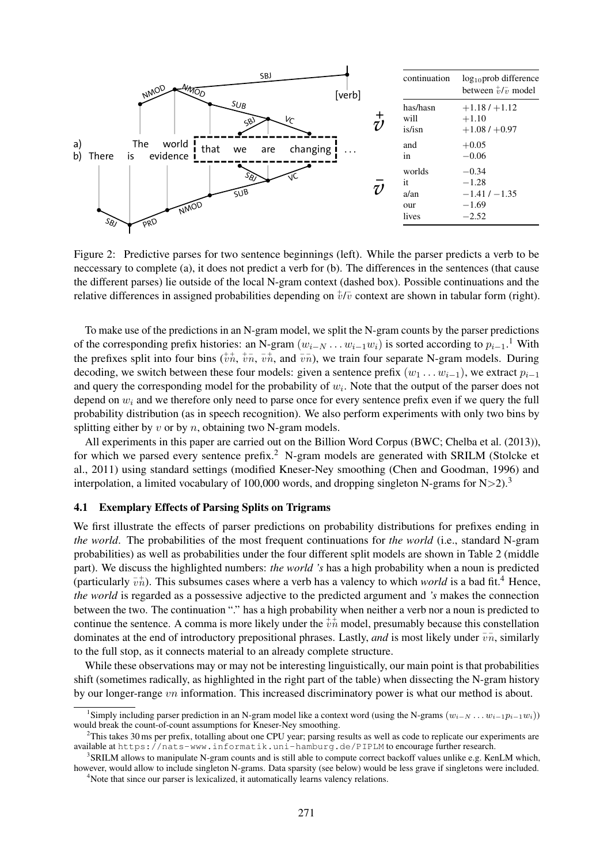

Figure 2: Predictive parses for two sentence beginnings (left). While the parser predicts a verb to be neccessary to complete (a), it does not predict a verb for (b). The differences in the sentences (that cause the different parses) lie outside of the local N-gram context (dashed box). Possible continuations and the relative differences in assigned probabilities depending on  $\sqrt[t]{v}$  context are shown in tabular form (right).

To make use of the predictions in an N-gram model, we split the N-gram counts by the parser predictions of the corresponding prefix histories: an N-gram  $(w_{i-N} \dots w_{i-1} w_i)$  is sorted according to  $p_{i-1}$ .<sup>1</sup> With the prefixes split into four bins  $(\psi n, \psi n, \overline{v} n, \overline{n})$ , we train four separate N-gram models. During decoding, we switch between these four models: given a sentence prefix  $(w_1 \dots w_{i-1})$ , we extract  $p_{i-1}$ and query the corresponding model for the probability of  $w_i$ . Note that the output of the parser does not depend on  $w_i$  and we therefore only need to parse once for every sentence prefix even if we query the full probability distribution (as in speech recognition). We also perform experiments with only two bins by splitting either by  $v$  or by  $n$ , obtaining two N-gram models.

All experiments in this paper are carried out on the Billion Word Corpus (BWC; Chelba et al. (2013)), for which we parsed every sentence prefix.<sup>2</sup> N-gram models are generated with SRILM (Stolcke et al., 2011) using standard settings (modified Kneser-Ney smoothing (Chen and Goodman, 1996) and interpolation, a limited vocabulary of 100,000 words, and dropping singleton N-grams for  $N>2$ ).<sup>3</sup>

### 4.1 Exemplary Effects of Parsing Splits on Trigrams

We first illustrate the effects of parser predictions on probability distributions for prefixes ending in *the world*. The probabilities of the most frequent continuations for *the world* (i.e., standard N-gram probabilities) as well as probabilities under the four different split models are shown in Table 2 (middle part). We discuss the highlighted numbers: *the world 's* has a high probability when a noun is predicted (particularly  $\overline{v}$ <sup>+</sup>). This subsumes cases where a verb has a valency to which *world* is a bad fit.<sup>4</sup> Hence, *the world* is regarded as a possessive adjective to the predicted argument and *'s* makes the connection between the two. The continuation "." has a high probability when neither a verb nor a noun is predicted to continue the sentence. A comma is more likely under the  $\psi_n^+$  model, presumably because this constellation dominates at the end of introductory prepositional phrases. Lastly, *and* is most likely under  $\overline{v}\overline{n}$ , similarly to the full stop, as it connects material to an already complete structure.

While these observations may or may not be interesting linguistically, our main point is that probabilities shift (sometimes radically, as highlighted in the right part of the table) when dissecting the N-gram history by our longer-range vn information. This increased discriminatory power is what our method is about.

<sup>&</sup>lt;sup>1</sup>Simply including parser prediction in an N-gram model like a context word (using the N-grams  $(w_{i-N} \ldots w_{i-1} p_{i-1} w_i)$ ) would break the count-of-count assumptions for Kneser-Ney smoothing.

 $2$ This takes 30 ms per prefix, totalling about one CPU year; parsing results as well as code to replicate our experiments are available at https://nats-www.informatik.uni-hamburg.de/PIPLM to encourage further research.

<sup>&</sup>lt;sup>3</sup> SRILM allows to manipulate N-gram counts and is still able to compute correct backoff values unlike e.g. KenLM which, however, would allow to include singleton N-grams. Data sparsity (see below) would be less grave if singletons were included. <sup>4</sup>Note that since our parser is lexicalized, it automatically learns valency relations.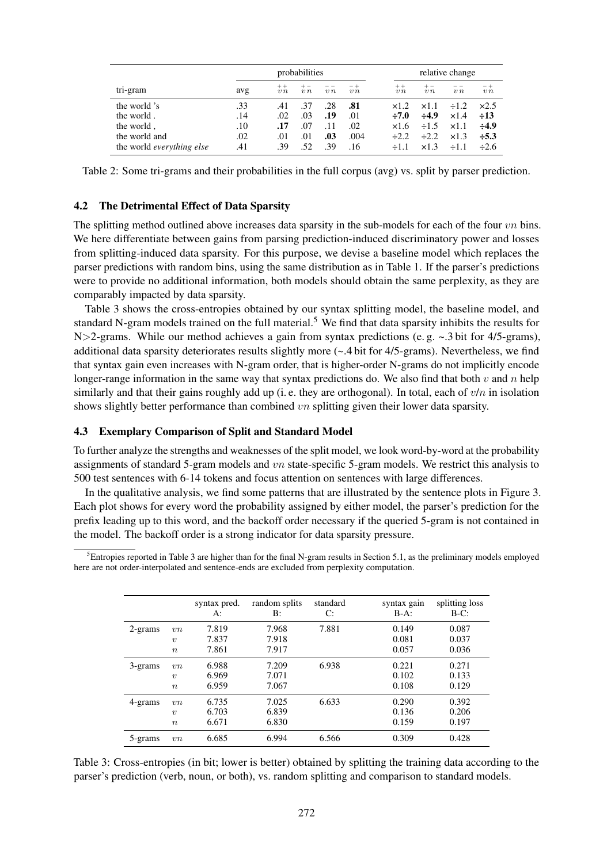|                           | probabilities |             |     |        | relative change |                  |            |            |                |
|---------------------------|---------------|-------------|-----|--------|-----------------|------------------|------------|------------|----------------|
| tri-gram                  | avg           | $++$<br>v n | v n | $v\,n$ | - -<br>$v_{n}$  | $+ +$<br>$v_{n}$ | v n        | v n        | - +<br>$v_{n}$ |
| the world 's              | .33           | .41         | .37 | .28    | .81             | $\times$ 1.2.    | x1.1       | $\div 1.2$ | $\times2.5$    |
| the world.                | .14           | .02         | .03 | .19    | .01             | $\div 7.0$       | $\div 4.9$ | x1.4       | $\div 13$      |
| the world,                | .10           | .17         | .07 | .11    | .02             | x1.6             | $\div 1.5$ | x1.1       | $\div 4.9$     |
| the world and             | .02           | .01         | .01 | .03    | .004            | $-2.2$           | $\div 2.2$ | x1.3       | $\div 5.3$     |
| the world everything else | .41           | .39         | .52 | .39    | .16             | $+1.1$           | x1.3       | $\div 1.1$ | $\div 2.6$     |

Table 2: Some tri-grams and their probabilities in the full corpus (avg) vs. split by parser prediction.

# 4.2 The Detrimental Effect of Data Sparsity

The splitting method outlined above increases data sparsity in the sub-models for each of the four  $vn$  bins. We here differentiate between gains from parsing prediction-induced discriminatory power and losses from splitting-induced data sparsity. For this purpose, we devise a baseline model which replaces the parser predictions with random bins, using the same distribution as in Table 1. If the parser's predictions were to provide no additional information, both models should obtain the same perplexity, as they are comparably impacted by data sparsity.

Table 3 shows the cross-entropies obtained by our syntax splitting model, the baseline model, and standard N-gram models trained on the full material.<sup>5</sup> We find that data sparsity inhibits the results for N $>$ 2-grams. While our method achieves a gain from syntax predictions (e.g.  $\sim$  3 bit for 4/5-grams), additional data sparsity deteriorates results slightly more (~.4 bit for 4/5-grams). Nevertheless, we find that syntax gain even increases with N-gram order, that is higher-order N-grams do not implicitly encode longer-range information in the same way that syntax predictions do. We also find that both v and n help similarly and that their gains roughly add up (i.e. they are orthogonal). In total, each of  $v/n$  in isolation shows slightly better performance than combined vn splitting given their lower data sparsity.

#### 4.3 Exemplary Comparison of Split and Standard Model

To further analyze the strengths and weaknesses of the split model, we look word-by-word at the probability assignments of standard 5-gram models and vn state-specific 5-gram models. We restrict this analysis to 500 test sentences with 6-14 tokens and focus attention on sentences with large differences.

In the qualitative analysis, we find some patterns that are illustrated by the sentence plots in Figure 3. Each plot shows for every word the probability assigned by either model, the parser's prediction for the prefix leading up to this word, and the backoff order necessary if the queried 5-gram is not contained in the model. The backoff order is a strong indicator for data sparsity pressure.

 ${}^{5}$ Entropies reported in Table 3 are higher than for the final N-gram results in Section 5.1, as the preliminary models employed here are not order-interpolated and sentence-ends are excluded from perplexity computation.

|         |                     | syntax pred.<br>A: | random splits<br>B: | standard<br>C: | syntax gain<br>$B-A$ : | splitting loss<br>$B-C$ : |
|---------|---------------------|--------------------|---------------------|----------------|------------------------|---------------------------|
| 2-grams | vn                  | 7.819              | 7.968               | 7.881          | 0.149                  | 0.087                     |
|         | $\boldsymbol{\eta}$ | 7.837              | 7.918               |                | 0.081                  | 0.037                     |
|         | $\boldsymbol{n}$    | 7.861              | 7.917               |                | 0.057                  | 0.036                     |
| 3-grams | vn                  | 6.988              | 7.209               | 6.938          | 0.221                  | 0.271                     |
|         | $\boldsymbol{\eta}$ | 6.969              | 7.071               |                | 0.102                  | 0.133                     |
|         | $\boldsymbol{n}$    | 6.959              | 7.067               |                | 0.108                  | 0.129                     |
| 4-grams | vn                  | 6.735              | 7.025               | 6.633          | 0.290                  | 0.392                     |
|         | $\boldsymbol{\eta}$ | 6.703              | 6.839               |                | 0.136                  | 0.206                     |
|         | $\boldsymbol{n}$    | 6.671              | 6.830               |                | 0.159                  | 0.197                     |
| 5-grams | vn                  | 6.685              | 6.994               | 6.566          | 0.309                  | 0.428                     |

Table 3: Cross-entropies (in bit; lower is better) obtained by splitting the training data according to the parser's prediction (verb, noun, or both), vs. random splitting and comparison to standard models.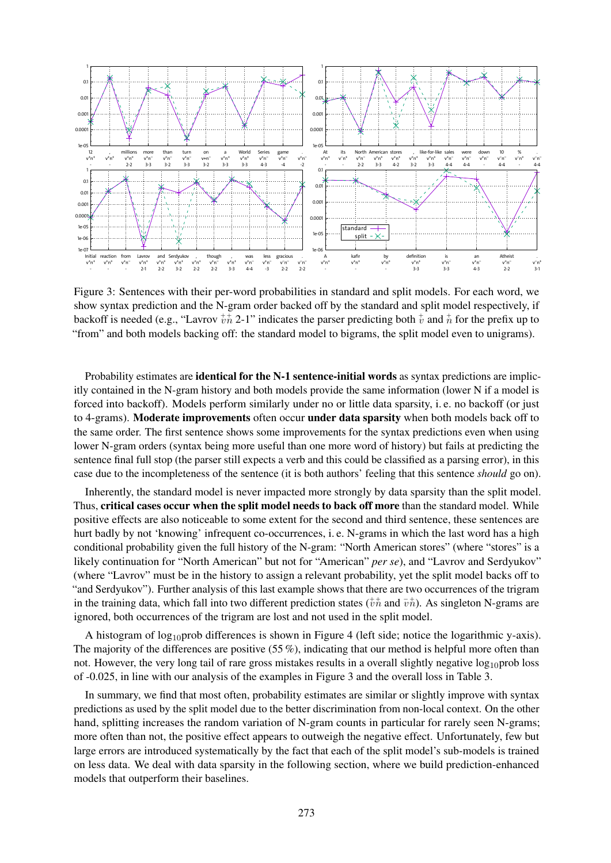

Figure 3: Sentences with their per-word probabilities in standard and split models. For each word, we show syntax prediction and the N-gram order backed off by the standard and split model respectively, if backoff is needed (e.g., "Lavrov  $\psi_n^+$  2-1" indicates the parser predicting both  $\psi$  and  $\dot{n}$  for the prefix up to "from" and both models backing off: the standard model to bigrams, the split model even to unigrams).

Probability estimates are **identical for the N-1 sentence-initial words** as syntax predictions are implicitly contained in the N-gram history and both models provide the same information (lower N if a model is forced into backoff). Models perform similarly under no or little data sparsity, i. e. no backoff (or just to 4-grams). Moderate improvements often occur under data sparsity when both models back off to the same order. The first sentence shows some improvements for the syntax predictions even when using lower N-gram orders (syntax being more useful than one more word of history) but fails at predicting the sentence final full stop (the parser still expects a verb and this could be classified as a parsing error), in this case due to the incompleteness of the sentence (it is both authors' feeling that this sentence *should* go on).

Inherently, the standard model is never impacted more strongly by data sparsity than the split model. Thus, critical cases occur when the split model needs to back off more than the standard model. While positive effects are also noticeable to some extent for the second and third sentence, these sentences are hurt badly by not 'knowing' infrequent co-occurrences, i. e. N-grams in which the last word has a high conditional probability given the full history of the N-gram: "North American stores" (where "stores" is a likely continuation for "North American" but not for "American" *per se*), and "Lavrov and Serdyukov" (where "Lavrov" must be in the history to assign a relevant probability, yet the split model backs off to "and Serdyukov"). Further analysis of this last example shows that there are two occurrences of the trigram in the training data, which fall into two different prediction states  $(\psi_n^+$  and  $(\psi_n^+)$ . As singleton N-grams are ignored, both occurrences of the trigram are lost and not used in the split model.

A histogram of log<sub>10</sub>prob differences is shown in Figure 4 (left side; notice the logarithmic y-axis). The majority of the differences are positive (55 %), indicating that our method is helpful more often than not. However, the very long tail of rare gross mistakes results in a overall slightly negative  $log_{10}$ prob loss of -0.025, in line with our analysis of the examples in Figure 3 and the overall loss in Table 3.

In summary, we find that most often, probability estimates are similar or slightly improve with syntax predictions as used by the split model due to the better discrimination from non-local context. On the other hand, splitting increases the random variation of N-gram counts in particular for rarely seen N-grams; more often than not, the positive effect appears to outweigh the negative effect. Unfortunately, few but large errors are introduced systematically by the fact that each of the split model's sub-models is trained on less data. We deal with data sparsity in the following section, where we build prediction-enhanced models that outperform their baselines.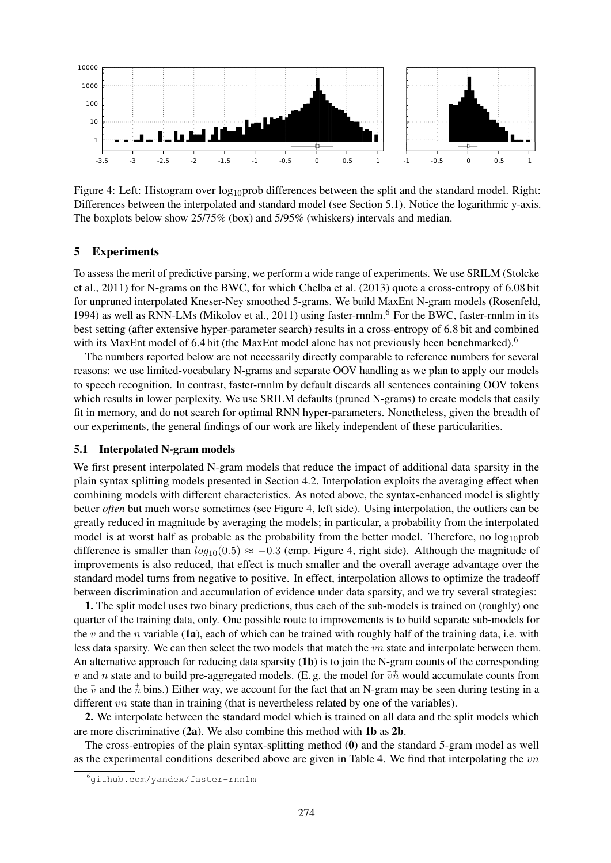

Figure 4: Left: Histogram over  $log_{10}$ prob differences between the split and the standard model. Right: Differences between the interpolated and standard model (see Section 5.1). Notice the logarithmic y-axis. The boxplots below show 25/75% (box) and 5/95% (whiskers) intervals and median.

# 5 Experiments

To assess the merit of predictive parsing, we perform a wide range of experiments. We use SRILM (Stolcke et al., 2011) for N-grams on the BWC, for which Chelba et al. (2013) quote a cross-entropy of 6.08 bit for unpruned interpolated Kneser-Ney smoothed 5-grams. We build MaxEnt N-gram models (Rosenfeld, 1994) as well as RNN-LMs (Mikolov et al., 2011) using faster-rnnlm.<sup>6</sup> For the BWC, faster-rnnlm in its best setting (after extensive hyper-parameter search) results in a cross-entropy of 6.8 bit and combined with its MaxEnt model of 6.4 bit (the MaxEnt model alone has not previously been benchmarked).<sup>6</sup>

The numbers reported below are not necessarily directly comparable to reference numbers for several reasons: we use limited-vocabulary N-grams and separate OOV handling as we plan to apply our models to speech recognition. In contrast, faster-rnnlm by default discards all sentences containing OOV tokens which results in lower perplexity. We use SRILM defaults (pruned N-grams) to create models that easily fit in memory, and do not search for optimal RNN hyper-parameters. Nonetheless, given the breadth of our experiments, the general findings of our work are likely independent of these particularities.

# 5.1 Interpolated N-gram models

We first present interpolated N-gram models that reduce the impact of additional data sparsity in the plain syntax splitting models presented in Section 4.2. Interpolation exploits the averaging effect when combining models with different characteristics. As noted above, the syntax-enhanced model is slightly better *often* but much worse sometimes (see Figure 4, left side). Using interpolation, the outliers can be greatly reduced in magnitude by averaging the models; in particular, a probability from the interpolated model is at worst half as probable as the probability from the better model. Therefore, no  $log_{10}$ prob difference is smaller than  $log_{10}(0.5) \approx -0.3$  (cmp. Figure 4, right side). Although the magnitude of improvements is also reduced, that effect is much smaller and the overall average advantage over the standard model turns from negative to positive. In effect, interpolation allows to optimize the tradeoff between discrimination and accumulation of evidence under data sparsity, and we try several strategies:

1. The split model uses two binary predictions, thus each of the sub-models is trained on (roughly) one quarter of the training data, only. One possible route to improvements is to build separate sub-models for the v and the n variable (1a), each of which can be trained with roughly half of the training data, i.e. with less data sparsity. We can then select the two models that match the vn state and interpolate between them. An alternative approach for reducing data sparsity  $(1b)$  is to join the N-gram counts of the corresponding v and n state and to build pre-aggregated models. (E. g. the model for  $\overline{v}$  would accumulate counts from the  $\bar{v}$  and the  $\dot{\bar{n}}$  bins.) Either way, we account for the fact that an N-gram may be seen during testing in a different *vn* state than in training (that is nevertheless related by one of the variables).

2. We interpolate between the standard model which is trained on all data and the split models which are more discriminative (2a). We also combine this method with 1b as 2b.

The cross-entropies of the plain syntax-splitting method (0) and the standard 5-gram model as well as the experimental conditions described above are given in Table 4. We find that interpolating the  $vn$ 

<sup>6</sup>github.com/yandex/faster-rnnlm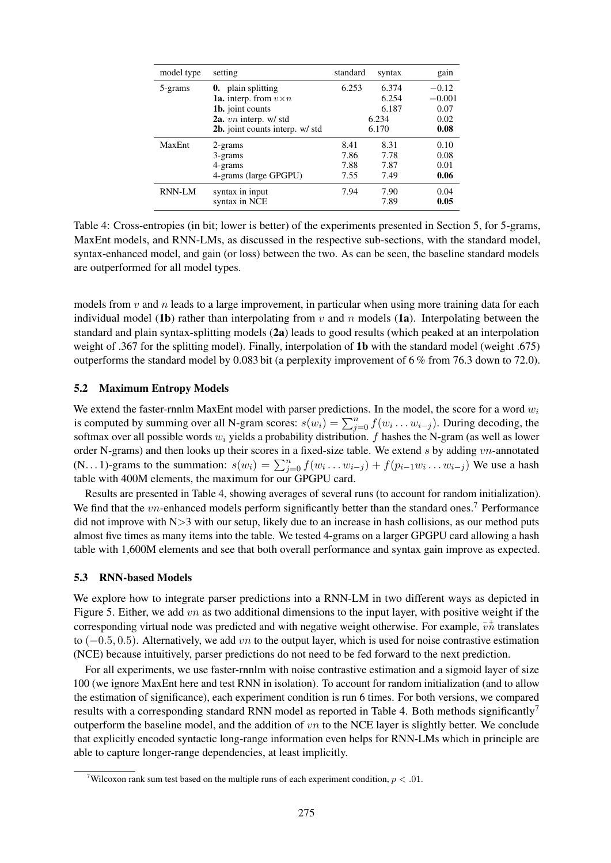| model type | setting                              | standard | syntax | gain     |  |
|------------|--------------------------------------|----------|--------|----------|--|
| 5-grams    | <b>0.</b> plain splitting            | 6.253    | 6.374  | $-0.12$  |  |
|            | <b>1a.</b> interp. from $v \times n$ |          | 6.254  | $-0.001$ |  |
|            | 1b. joint counts                     |          | 6.187  | 0.07     |  |
|            | $2a.$ vn interp. w/ std              |          | 6.234  |          |  |
|            | 2b. joint counts interp. w/ std      | 6.170    |        | 0.08     |  |
| MaxEnt     | 2-grams                              | 8.41     | 8.31   | 0.10     |  |
|            | 3-grams                              | 7.86     | 7.78   | 0.08     |  |
|            | 4-grams                              | 7.88     | 7.87   | 0.01     |  |
|            | 4-grams (large GPGPU)                | 7.55     | 7.49   | 0.06     |  |
| RNN-LM     | syntax in input                      | 7.94     | 7.90   | 0.04     |  |
|            | syntax in NCE                        |          | 7.89   | 0.05     |  |

Table 4: Cross-entropies (in bit; lower is better) of the experiments presented in Section 5, for 5-grams, MaxEnt models, and RNN-LMs, as discussed in the respective sub-sections, with the standard model, syntax-enhanced model, and gain (or loss) between the two. As can be seen, the baseline standard models are outperformed for all model types.

models from  $v$  and  $n$  leads to a large improvement, in particular when using more training data for each individual model (1b) rather than interpolating from v and n models (1a). Interpolating between the standard and plain syntax-splitting models (2a) leads to good results (which peaked at an interpolation weight of .367 for the splitting model). Finally, interpolation of 1b with the standard model (weight .675) outperforms the standard model by 0.083 bit (a perplexity improvement of 6 % from 76.3 down to 72.0).

# 5.2 Maximum Entropy Models

We extend the faster-rnnlm MaxEnt model with parser predictions. In the model, the score for a word  $w_i$ is computed by summing over all N-gram scores:  $s(w_i) = \sum_{j=0}^n f(w_i \dots w_{i-j})$ . During decoding, the softmax over all possible words  $w_i$  yields a probability distribution. f hashes the N-gram (as well as lower order N-grams) and then looks up their scores in a fixed-size table. We extend s by adding vn-annotated (N...1)-grams to the summation:  $s(w_i) = \sum_{j=0}^n f(w_i \dots w_{i-j}) + f(p_{i-1}w_i \dots w_{i-j})$  We use a hash table with 400M elements, the maximum for our GPGPU card.

Results are presented in Table 4, showing averages of several runs (to account for random initialization). We find that the  $vn$ -enhanced models perform significantly better than the standard ones.<sup>7</sup> Performance did not improve with  $N>3$  with our setup, likely due to an increase in hash collisions, as our method puts almost five times as many items into the table. We tested 4-grams on a larger GPGPU card allowing a hash table with 1,600M elements and see that both overall performance and syntax gain improve as expected.

### 5.3 RNN-based Models

We explore how to integrate parser predictions into a RNN-LM in two different ways as depicted in Figure 5. Either, we add vn as two additional dimensions to the input layer, with positive weight if the corresponding virtual node was predicted and with negative weight otherwise. For example,  $\overline{v}$  translates to  $(-0.5, 0.5)$ . Alternatively, we add vn to the output layer, which is used for noise contrastive estimation (NCE) because intuitively, parser predictions do not need to be fed forward to the next prediction.

For all experiments, we use faster-rnnlm with noise contrastive estimation and a sigmoid layer of size 100 (we ignore MaxEnt here and test RNN in isolation). To account for random initialization (and to allow the estimation of significance), each experiment condition is run 6 times. For both versions, we compared results with a corresponding standard RNN model as reported in Table 4. Both methods significantly<sup>7</sup> outperform the baseline model, and the addition of  $vn$  to the NCE layer is slightly better. We conclude that explicitly encoded syntactic long-range information even helps for RNN-LMs which in principle are able to capture longer-range dependencies, at least implicitly.

<sup>&</sup>lt;sup>7</sup>Wilcoxon rank sum test based on the multiple runs of each experiment condition,  $p < .01$ .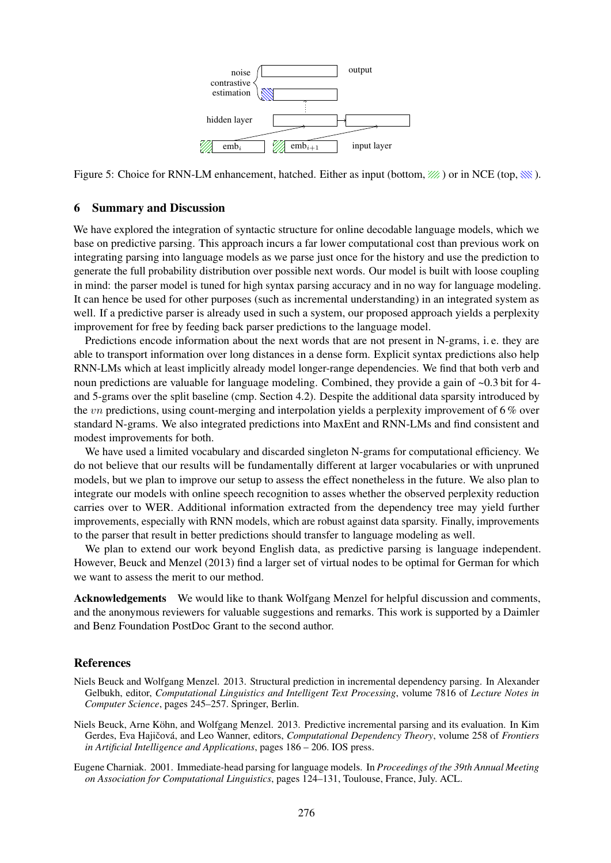

Figure 5: Choice for RNN-LM enhancement, hatched. Either as input (bottom,  $\mathcal{W}$ ) or in NCE (top,  $\mathcal{W}$ ).

# 6 Summary and Discussion

We have explored the integration of syntactic structure for online decodable language models, which we base on predictive parsing. This approach incurs a far lower computational cost than previous work on integrating parsing into language models as we parse just once for the history and use the prediction to generate the full probability distribution over possible next words. Our model is built with loose coupling in mind: the parser model is tuned for high syntax parsing accuracy and in no way for language modeling. It can hence be used for other purposes (such as incremental understanding) in an integrated system as well. If a predictive parser is already used in such a system, our proposed approach yields a perplexity improvement for free by feeding back parser predictions to the language model.

Predictions encode information about the next words that are not present in N-grams, i. e. they are able to transport information over long distances in a dense form. Explicit syntax predictions also help RNN-LMs which at least implicitly already model longer-range dependencies. We find that both verb and noun predictions are valuable for language modeling. Combined, they provide a gain of ~0.3 bit for 4 and 5-grams over the split baseline (cmp. Section 4.2). Despite the additional data sparsity introduced by the *vn* predictions, using count-merging and interpolation yields a perplexity improvement of  $6\%$  over standard N-grams. We also integrated predictions into MaxEnt and RNN-LMs and find consistent and modest improvements for both.

We have used a limited vocabulary and discarded singleton N-grams for computational efficiency. We do not believe that our results will be fundamentally different at larger vocabularies or with unpruned models, but we plan to improve our setup to assess the effect nonetheless in the future. We also plan to integrate our models with online speech recognition to asses whether the observed perplexity reduction carries over to WER. Additional information extracted from the dependency tree may yield further improvements, especially with RNN models, which are robust against data sparsity. Finally, improvements to the parser that result in better predictions should transfer to language modeling as well.

We plan to extend our work beyond English data, as predictive parsing is language independent. However, Beuck and Menzel (2013) find a larger set of virtual nodes to be optimal for German for which we want to assess the merit to our method.

Acknowledgements We would like to thank Wolfgang Menzel for helpful discussion and comments, and the anonymous reviewers for valuable suggestions and remarks. This work is supported by a Daimler and Benz Foundation PostDoc Grant to the second author.

### References

- Niels Beuck and Wolfgang Menzel. 2013. Structural prediction in incremental dependency parsing. In Alexander Gelbukh, editor, *Computational Linguistics and Intelligent Text Processing*, volume 7816 of *Lecture Notes in Computer Science*, pages 245–257. Springer, Berlin.
- Niels Beuck, Arne Kohn, and Wolfgang Menzel. 2013. Predictive incremental parsing and its evaluation. In Kim ¨ Gerdes, Eva Hajičová, and Leo Wanner, editors, *Computational Dependency Theory*, volume 258 of *Frontiers in Artificial Intelligence and Applications*, pages 186 – 206. IOS press.
- Eugene Charniak. 2001. Immediate-head parsing for language models. In *Proceedings of the 39th Annual Meeting on Association for Computational Linguistics*, pages 124–131, Toulouse, France, July. ACL.